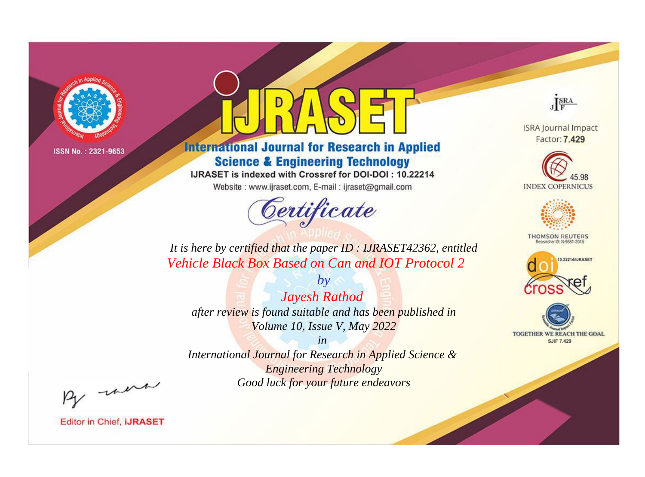

# **International Journal for Research in Applied Science & Engineering Technology**

IJRASET is indexed with Crossref for DOI-DOI: 10.22214

Website: www.ijraset.com, E-mail: ijraset@gmail.com



JERA

**ISRA Journal Impact** Factor: 7.429





**THOMSON REUTERS** 



TOGETHER WE REACH THE GOAL **SJIF 7.429** 

*It is here by certified that the paper ID : IJRASET42362, entitled Vehicle Black Box Based on Can and IOT Protocol 2*

*by Jayesh Rathod after review is found suitable and has been published in Volume 10, Issue V, May 2022*

*in* 

*International Journal for Research in Applied Science & Engineering Technology Good luck for your future endeavors*

By morn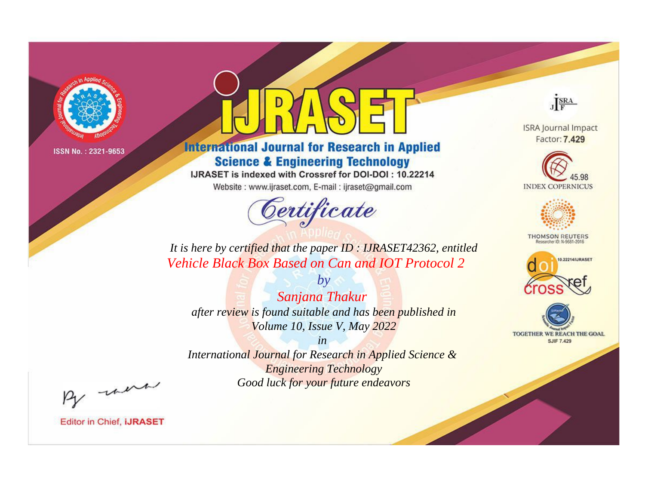

# **International Journal for Research in Applied Science & Engineering Technology**

IJRASET is indexed with Crossref for DOI-DOI: 10.22214

Website: www.ijraset.com, E-mail: ijraset@gmail.com



JERA

**ISRA Journal Impact** Factor: 7.429





**THOMSON REUTERS** 



TOGETHER WE REACH THE GOAL **SJIF 7.429** 

*It is here by certified that the paper ID : IJRASET42362, entitled Vehicle Black Box Based on Can and IOT Protocol 2*

*by Sanjana Thakur after review is found suitable and has been published in Volume 10, Issue V, May 2022*

*in* 

*International Journal for Research in Applied Science & Engineering Technology Good luck for your future endeavors*

By morn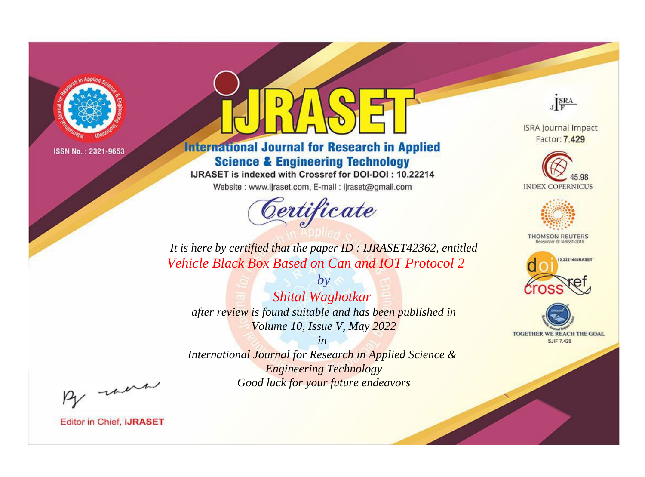

# **International Journal for Research in Applied Science & Engineering Technology**

IJRASET is indexed with Crossref for DOI-DOI: 10.22214

Website: www.ijraset.com, E-mail: ijraset@gmail.com



JERA

**ISRA Journal Impact** Factor: 7.429





**THOMSON REUTERS** 



TOGETHER WE REACH THE GOAL **SJIF 7.429** 

*It is here by certified that the paper ID : IJRASET42362, entitled Vehicle Black Box Based on Can and IOT Protocol 2*

*by Shital Waghotkar after review is found suitable and has been published in Volume 10, Issue V, May 2022*

*in* 

*International Journal for Research in Applied Science & Engineering Technology Good luck for your future endeavors*

By morn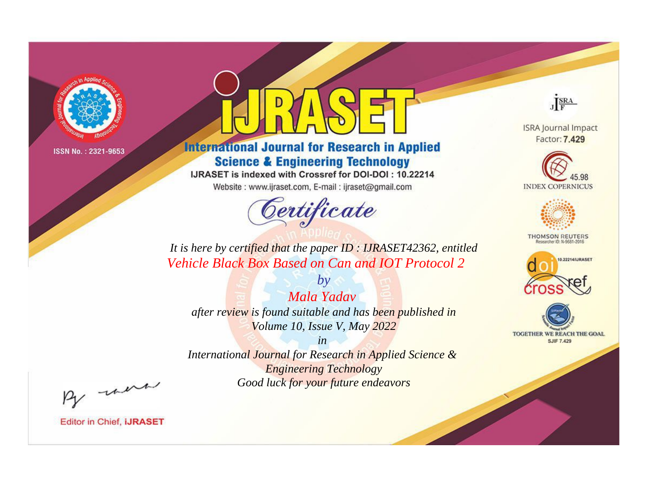

# **International Journal for Research in Applied Science & Engineering Technology**

IJRASET is indexed with Crossref for DOI-DOI: 10.22214

Website: www.ijraset.com, E-mail: ijraset@gmail.com



JERA

**ISRA Journal Impact** Factor: 7.429





**THOMSON REUTERS** 



TOGETHER WE REACH THE GOAL **SJIF 7.429** 

*It is here by certified that the paper ID : IJRASET42362, entitled Vehicle Black Box Based on Can and IOT Protocol 2*

*Mala Yadav after review is found suitable and has been published in Volume 10, Issue V, May 2022*

*by*

*in* 

*International Journal for Research in Applied Science & Engineering Technology Good luck for your future endeavors*

By morn